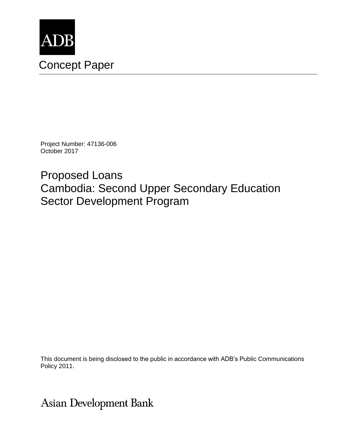

Project Number: 47136-006 October 2017

Proposed Loans Cambodia: Second Upper Secondary Education Sector Development Program

This document is being disclosed to the public in accordance with ADB's Public Communications Policy 2011.

Asian Development Bank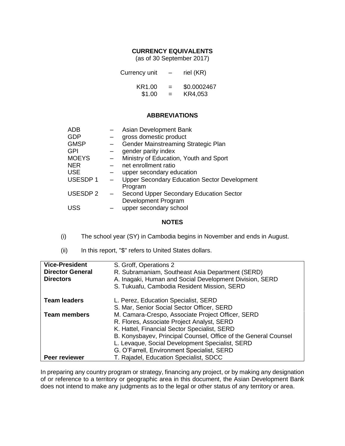### **CURRENCY EQUIVALENTS**

(as of 30 September 2017)

| Currency unit | $\qquad \qquad$ | riel (KR)   |
|---------------|-----------------|-------------|
| KR1.00        | $=$             | \$0.0002467 |
| \$1.00        | $=$             | KR4,053     |

#### **ABBREVIATIONS**

| <b>ADB</b>     | Asian Development Bank                              |
|----------------|-----------------------------------------------------|
| <b>GDP</b>     | gross domestic product                              |
| <b>GMSP</b>    | Gender Mainstreaming Strategic Plan                 |
| <b>GPI</b>     | gender parity index                                 |
| <b>MOEYS</b>   | Ministry of Education, Youth and Sport              |
| <b>NER</b>     | net enrollment ratio                                |
| <b>USE</b>     | upper secondary education                           |
| <b>USESDP1</b> | <b>Upper Secondary Education Sector Development</b> |
|                | Program                                             |
| <b>USESDP2</b> | Second Upper Secondary Education Sector             |
|                | Development Program                                 |
| <b>USS</b>     | upper secondary school                              |

#### **NOTES**

- (i) The school year (SY) in Cambodia begins in November and ends in August.
- (ii) In this report, "\$" refers to United States dollars.

| <b>Vice-President</b><br><b>Director General</b><br><b>Directors</b> | S. Groff, Operations 2<br>R. Subramaniam, Southeast Asia Department (SERD)<br>A. Inagaki, Human and Social Development Division, SERD<br>S. Tukuafu, Cambodia Resident Mission, SERD |
|----------------------------------------------------------------------|--------------------------------------------------------------------------------------------------------------------------------------------------------------------------------------|
| <b>Team leaders</b>                                                  | L. Perez, Education Specialist, SERD                                                                                                                                                 |
|                                                                      | S. Mar, Senior Social Sector Officer, SERD                                                                                                                                           |
| <b>Team members</b>                                                  | M. Camara-Crespo, Associate Project Officer, SERD                                                                                                                                    |
|                                                                      | R. Flores, Associate Project Analyst, SERD                                                                                                                                           |
|                                                                      | K. Hattel, Financial Sector Specialist, SERD                                                                                                                                         |
|                                                                      | B. Konysbayev, Principal Counsel, Office of the General Counsel                                                                                                                      |
|                                                                      | L. Levaque, Social Development Specialist, SERD                                                                                                                                      |
|                                                                      | G. O'Farrell, Environment Specialist, SERD                                                                                                                                           |
| <b>Peer reviewer</b>                                                 | T. Rajadel, Education Specialist, SDCC                                                                                                                                               |

In preparing any country program or strategy, financing any project, or by making any designation of or reference to a territory or geographic area in this document, the Asian Development Bank does not intend to make any judgments as to the legal or other status of any territory or area.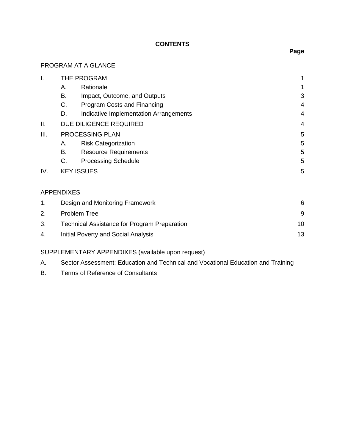### **CONTENTS**

### PROGRAM AT A GLANCE

| I.  |    | THE PROGRAM                            | 1              |
|-----|----|----------------------------------------|----------------|
|     | Α. | Rationale                              | 1              |
|     | В. | Impact, Outcome, and Outputs           | 3              |
|     | C. | Program Costs and Financing            | 4              |
|     | D. | Indicative Implementation Arrangements | 4              |
| Ш.  |    | DUE DILIGENCE REQUIRED                 | $\overline{4}$ |
| Ш.  |    | PROCESSING PLAN                        | 5              |
|     | А. | <b>Risk Categorization</b>             | 5              |
|     | В. | <b>Resource Requirements</b>           | 5              |
|     | C. | <b>Processing Schedule</b>             | 5              |
| IV. |    | <b>KEY ISSUES</b>                      | 5              |
|     |    |                                        |                |

## APPENDIXES

|    | Design and Monitoring Framework                     | 6  |
|----|-----------------------------------------------------|----|
| 2. | Problem Tree                                        |    |
|    | <b>Technical Assistance for Program Preparation</b> | 10 |
| 4. | Initial Poverty and Social Analysis                 | 13 |

# SUPPLEMENTARY APPENDIXES (available upon request)

|  | Sector Assessment: Education and Technical and Vocational Education and Training |  |  |  |  |  |
|--|----------------------------------------------------------------------------------|--|--|--|--|--|
|--|----------------------------------------------------------------------------------|--|--|--|--|--|

B. Terms of Reference of Consultants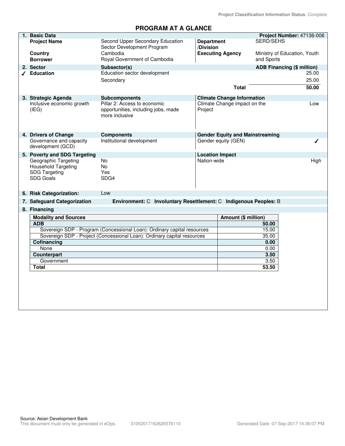**Project Classification Information Status**: Complete

## **PROGRAM AT A GLANCE**

| 1. Basic Data                                      |                                                                         |                        |                                        |                  | Project Number: 47136-006    |
|----------------------------------------------------|-------------------------------------------------------------------------|------------------------|----------------------------------------|------------------|------------------------------|
| <b>Project Name</b>                                | Second Upper Secondary Education                                        | <b>Department</b>      |                                        | <b>SERD/SEHS</b> |                              |
|                                                    | Sector Development Program                                              | /Division              |                                        |                  |                              |
| Country                                            | Cambodia                                                                |                        | <b>Executing Agency</b>                |                  | Ministry of Education, Youth |
| <b>Borrower</b>                                    | Royal Government of Cambodia                                            |                        |                                        | and Sports       |                              |
| 2. Sector                                          | Subsector(s)                                                            |                        |                                        |                  | ADB Financing (\$ million)   |
| ✔ Education                                        | Education sector development                                            |                        |                                        |                  | 25.00                        |
|                                                    | Secondary                                                               |                        |                                        |                  | 25.00                        |
|                                                    |                                                                         |                        | Total                                  |                  | 50.00                        |
| 3. Strategic Agenda                                | <b>Subcomponents</b>                                                    |                        | <b>Climate Change Information</b>      |                  |                              |
| Inclusive economic growth                          | Pillar 2: Access to economic                                            |                        | Climate Change impact on the           |                  | Low                          |
| (IEG)                                              | opportunities, including jobs, made                                     | Project                |                                        |                  |                              |
|                                                    | more inclusive                                                          |                        |                                        |                  |                              |
|                                                    |                                                                         |                        |                                        |                  |                              |
|                                                    |                                                                         |                        |                                        |                  |                              |
| 4. Drivers of Change                               | <b>Components</b>                                                       |                        | <b>Gender Equity and Mainstreaming</b> |                  |                              |
| Governance and capacity                            | Institutional development                                               |                        | Gender equity (GEN)                    |                  |                              |
| development (GCD)                                  |                                                                         |                        |                                        |                  |                              |
| 5. Poverty and SDG Targeting                       |                                                                         | <b>Location Impact</b> |                                        |                  |                              |
| Geographic Targeting                               | <b>No</b>                                                               | Nation-wide            |                                        |                  | High                         |
| <b>Household Targeting</b><br><b>SDG Targeting</b> | No<br>Yes                                                               |                        |                                        |                  |                              |
| <b>SDG Goals</b>                                   | SDG4                                                                    |                        |                                        |                  |                              |
|                                                    |                                                                         |                        |                                        |                  |                              |
|                                                    |                                                                         |                        |                                        |                  |                              |
| 6. Risk Categorization:                            | Low                                                                     |                        |                                        |                  |                              |
| 7. Safeguard Categorization                        | Environment: C Involuntary Resettlement: C Indigenous Peoples: B        |                        |                                        |                  |                              |
| 8. Financing                                       |                                                                         |                        |                                        |                  |                              |
| <b>Modality and Sources</b>                        |                                                                         |                        | Amount (\$ million)                    |                  |                              |
| <b>ADB</b>                                         |                                                                         |                        |                                        | 50.00            |                              |
|                                                    | Sovereign SDP - Program (Concessional Loan): Ordinary capital resources |                        |                                        | 15.00            |                              |
|                                                    | Sovereign SDP - Project (Concessional Loan): Ordinary capital resources |                        |                                        | 35.00            |                              |
| Cofinancing<br>None                                |                                                                         |                        |                                        | 0.00<br>0.00     |                              |
| Counterpart                                        |                                                                         |                        |                                        | 3.50             |                              |
| Government                                         |                                                                         |                        |                                        | 3.50             |                              |
| <b>Total</b>                                       |                                                                         |                        |                                        | 53.50            |                              |
|                                                    |                                                                         |                        |                                        |                  |                              |
|                                                    |                                                                         |                        |                                        |                  |                              |
|                                                    |                                                                         |                        |                                        |                  |                              |
|                                                    |                                                                         |                        |                                        |                  |                              |
|                                                    |                                                                         |                        |                                        |                  |                              |
|                                                    |                                                                         |                        |                                        |                  |                              |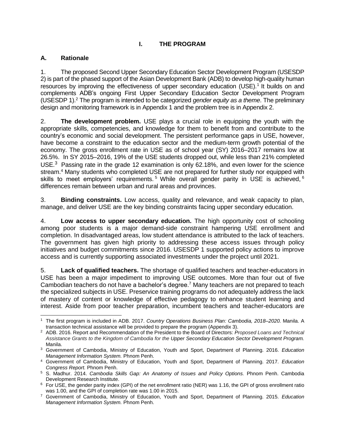### **I. THE PROGRAM**

### **A. Rationale**

1. The proposed Second Upper Secondary Education Sector Development Program (USESDP 2) is part of the phased support of the Asian Development Bank (ADB) to develop high-quality human resources by improving the effectiveness of upper secondary education (USE).<sup>1</sup> It builds on and complements ADB's ongoing First Upper Secondary Education Sector Development Program (USESDP 1). <sup>2</sup> The program is intended to be categorized *gender equity as a theme*. The preliminary design and monitoring framework is in Appendix 1 and the problem tree is in Appendix 2.

2. **The development problem.** USE plays a crucial role in equipping the youth with the appropriate skills, competencies, and knowledge for them to benefit from and contribute to the country's economic and social development. The persistent performance gaps in USE, however, have become a constraint to the education sector and the medium-term growth potential of the economy. The gross enrollment rate in USE as of school year (SY) 2016–2017 remains low at 26.5%. In SY 2015–2016, 19% of the USE students dropped out, while less than 21% completed USE.<sup>3</sup> Passing rate in the grade 12 examination is only 62.18%, and even lower for the science stream.<sup>4</sup> Many students who completed USE are not prepared for further study nor equipped with skills to meet employers' requirements.<sup>5</sup> While overall gender parity in USE is achieved,  $6$ differences remain between urban and rural areas and provinces.

3. **Binding constraints.** Low access, quality and relevance, and weak capacity to plan, manage, and deliver USE are the key binding constraints facing upper secondary education.

4. **Low access to upper secondary education.** The high opportunity cost of schooling among poor students is a major demand-side constraint hampering USE enrollment and completion. In disadvantaged areas, low student attendance is attributed to the lack of teachers. The government has given high priority to addressing these access issues through policy initiatives and budget commitments since 2016. USESDP 1 supported policy actions to improve access and is currently supporting associated investments under the project until 2021.

5. **Lack of qualified teachers.** The shortage of qualified teachers and teacher-educators in USE has been a major impediment to improving USE outcomes. More than four out of five Cambodian teachers do not have a bachelor's degree.<sup>7</sup> Many teachers are not prepared to teach the specialized subjects in USE. Preservice training programs do not adequately address the lack of mastery of content or knowledge of effective pedagogy to enhance student learning and interest. Aside from poor teacher preparation, incumbent teachers and teacher-educators are

 $\overline{a}$ <sup>1</sup> The first program is included in ADB. 2017. *Country Operations Business Plan: Cambodia, 2018–2020.* Manila. A transaction technical assistance will be provided to prepare the program (Appendix 3).

<sup>2</sup> ADB. 2016. Report and Recommendation of the President to the Board of Directors: *Proposed Loans and Technical Assistance Grants to the Kingdom of Cambodia for the Upper Secondary Education Sector Development Program.* Manila.

<sup>3</sup> Government of Cambodia, Ministry of Education, Youth and Sport, Department of Planning. 2016. *Education Management Information System.* Phnom Penh.

<sup>4</sup> Government of Cambodia, Ministry of Education, Youth and Sport, Department of Planning. 2017. *Education Congress Report.* Phnom Penh.

<sup>5</sup> S. Madhur. 2014. *Cambodia Skills Gap: An Anatomy of Issues and Policy Options.* Phnom Penh. Cambodia Development Research Institute.

 $6$  For USE, the gender parity index (GPI) of the net enrollment ratio (NER) was 1.16, the GPI of gross enrollment ratio was 1.00, and the GPI of completion rate was 1.00 in 2015.

<sup>7</sup> Government of Cambodia, Ministry of Education, Youth and Sport, Department of Planning. 2015. *Education Management Information System.* Phnom Penh.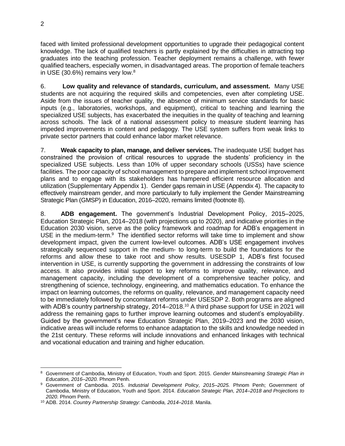faced with limited professional development opportunities to upgrade their pedagogical content knowledge. The lack of qualified teachers is partly explained by the difficulties in attracting top graduates into the teaching profession. Teacher deployment remains a challenge, with fewer qualified teachers, especially women, in disadvantaged areas. The proportion of female teachers in USE (30.6%) remains very low. $8$ 

6. **Low quality and relevance of standards, curriculum, and assessment.** Many USE students are not acquiring the required skills and competencies, even after completing USE. Aside from the issues of teacher quality, the absence of minimum service standards for basic inputs (e.g., laboratories, workshops, and equipment), critical to teaching and learning the specialized USE subjects, has exacerbated the inequities in the quality of teaching and learning across schools. The lack of a national assessment policy to measure student learning has impeded improvements in content and pedagogy. The USE system suffers from weak links to private sector partners that could enhance labor market relevance.

7. **Weak capacity to plan, manage, and deliver services.** The inadequate USE budget has constrained the provision of critical resources to upgrade the students' proficiency in the specialized USE subjects. Less than 10% of upper secondary schools (USSs) have science facilities. The poor capacity of school management to prepare and implement school improvement plans and to engage with its stakeholders has hampered efficient resource allocation and utilization (Supplementary Appendix 1). Gender gaps remain in USE (Appendix 4). The capacity to effectively mainstream gender, and more particularly to fully implement the Gender Mainstreaming Strategic Plan (GMSP) in Education, 2016–2020, remains limited (footnote 8).

8. **ADB engagement.** The government's Industrial Development Policy, 2015–2025, Education Strategic Plan, 2014–2018 (with projections up to 2020), and indicative priorities in the Education 2030 vision, serve as the policy framework and roadmap for ADB's engagement in USE in the medium-term.<sup>9</sup> The identified sector reforms will take time to implement and show development impact, given the current low-level outcomes. ADB's USE engagement involves strategically sequenced support in the medium- to long-term to build the foundations for the reforms and allow these to take root and show results. USESDP 1, ADB's first focused intervention in USE, is currently supporting the government in addressing the constraints of low access. It also provides initial support to key reforms to improve quality, relevance, and management capacity, including the development of a comprehensive teacher policy, and strengthening of science, technology, engineering, and mathematics education. To enhance the impact on learning outcomes, the reforms on quality, relevance, and management capacity need to be immediately followed by concomitant reforms under USESDP 2. Both programs are aligned with ADB's country partnership strategy, 2014–2018.<sup>10</sup> A third phase support for USE in 2021 will address the remaining gaps to further improve learning outcomes and student's employability. Guided by the government's new Education Strategic Plan, 2019–2023 and the 2030 vision, indicative areas will include reforms to enhance adaptation to the skills and knowledge needed in the 21st century. These reforms will include innovations and enhanced linkages with technical and vocational education and training and higher education.

 <sup>8</sup> Government of Cambodia, Ministry of Education, Youth and Sport. 2015. *Gender Mainstreaming Strategic Plan in Education, 2016–2020.* Phnom Penh.

<sup>9</sup> Government of Cambodia. 2015. *Industrial Development Policy, 2015–2025.* Phnom Penh; Government of Cambodia, Ministry of Education, Youth and Sport. 2014. *Education Strategic Plan, 2014–2018 and Projections to 2020.* Phnom Penh.

<sup>10</sup> ADB. 2014. *Country Partnership Strategy: Cambodia, 2014–2018.* Manila.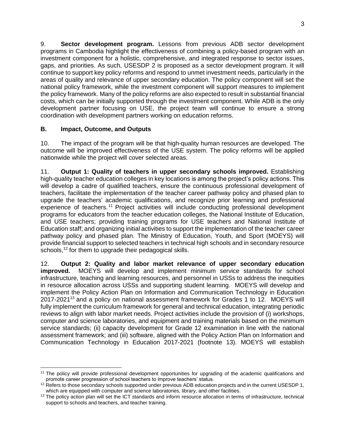9. **Sector development program.** Lessons from previous ADB sector development programs in Cambodia highlight the effectiveness of combining a policy-based program with an investment component for a holistic, comprehensive, and integrated response to sector issues, gaps, and priorities. As such, USESDP 2 is proposed as a sector development program. It will continue to support key policy reforms and respond to unmet investment needs, particularly in the areas of quality and relevance of upper secondary education. The policy component will set the national policy framework, while the investment component will support measures to implement the policy framework. Many of the policy reforms are also expected to result in substantial financial costs, which can be initially supported through the investment component. While ADB is the only development partner focusing on USE, the project team will continue to ensure a strong coordination with development partners working on education reforms.

### **B. Impact, Outcome, and Outputs**

10. The impact of the program will be that high-quality human resources are developed. The outcome will be improved effectiveness of the USE system. The policy reforms will be applied nationwide while the project will cover selected areas.

11. **Output 1: Quality of teachers in upper secondary schools improved.** Establishing high-quality teacher education colleges in key locations is among the project's policy actions. This will develop a cadre of qualified teachers, ensure the continuous professional development of teachers, facilitate the implementation of the teacher career pathway policy and phased plan to upgrade the teachers' academic qualifications, and recognize prior learning and professional experience of teachers.<sup>11</sup> Project activities will include conducting professional development programs for educators from the teacher education colleges, the National Institute of Education, and USE teachers; providing training programs for USE teachers and National Institute of Education staff; and organizing initial activities to support the implementation of the teacher career pathway policy and phased plan. The Ministry of Education, Youth, and Sport (MOEYS) will provide financial support to selected teachers in technical high schools and in secondary resource schools,<sup>12</sup> for them to upgrade their pedagogical skills.

12. **Output 2: Quality and labor market relevance of upper secondary education improved.** MOEYS will develop and implement minimum service standards for school infrastructure, teaching and learning resources, and personnel in USSs to address the inequities in resource allocation across USSs and supporting student learning. MOEYS will develop and implement the Policy Action Plan on Information and Communication Technology in Education 2017-2021<sup>13</sup> and a policy on national assessment framework for Grades 1 to 12. MOEYS will fully implement the curriculum framework for general and technical education, integrating periodic reviews to align with labor market needs. Project activities include the provision of (i) workshops, computer and science laboratories, and equipment and training materials based on the minimum service standards; (ii) capacity development for Grade 12 examination in line with the national assessment framework; and (iii) software, aligned with the Policy Action Plan on Information and Communication Technology in Education 2017-2021 (footnote 13). MOEYS will establish

 <sup>11</sup> The policy will provide professional development opportunities for upgrading of the academic qualifications and promote career progression of school teachers to improve teachers' status.

<sup>&</sup>lt;sup>12</sup> Refers to those secondary schools supported under previous ADB education projects and in the current USESDP 1, which are equipped with computer and science laboratories, library, and other facilities.

<sup>&</sup>lt;sup>13</sup> The policy action plan will set the ICT standards and inform resource allocation in terms of infrastructure, technical support to schools and teachers, and teacher training.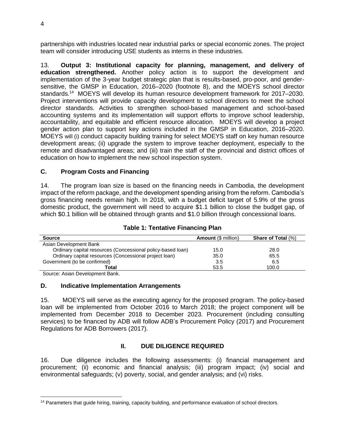partnerships with industries located near industrial parks or special economic zones. The project team will consider introducing USE students as interns in these industries.

13. **Output 3: Institutional capacity for planning, management, and delivery of education strengthened.** Another policy action is to support the development and implementation of the 3-year budget strategic plan that is results-based, pro-poor, and gendersensitive, the GMSP in Education, 2016–2020 (footnote 8), and the MOEYS school director standards. <sup>14</sup> MOEYS will develop its human resource development framework for 2017–2030. Project interventions will provide capacity development to school directors to meet the school director standards. Activities to strengthen school-based management and school-based accounting systems and its implementation will support efforts to improve school leadership, accountability, and equitable and efficient resource allocation. MOEYS will develop a project gender action plan to support key actions included in the GMSP in Education, 2016–2020. MOEYS will (i) conduct capacity building training for select MOEYS staff on key human resource development areas; (ii) upgrade the system to improve teacher deployment, especially to the remote and disadvantaged areas; and (iii) train the staff of the provincial and district offices of education on how to implement the new school inspection system.

### **C. Program Costs and Financing**

14. The program loan size is based on the financing needs in Cambodia, the development impact of the reform package, and the development spending arising from the reform. Cambodia's gross financing needs remain high. In 2018, with a budget deficit target of 5.9% of the gross domestic product, the government will need to acquire \$1.1 billion to close the budget gap, of which \$0.1 billion will be obtained through grants and \$1.0 billion through concessional loans.

| <b>Source</b>                                               | <b>Amount (\$ million)</b> | <b>Share of Total (%)</b> |
|-------------------------------------------------------------|----------------------------|---------------------------|
| Asian Development Bank                                      |                            |                           |
| Ordinary capital resources (Concessional policy-based loan) | 15.0                       | 28.0                      |
| Ordinary capital resources (Concessional project loan)      | 35.0                       | 65.5                      |
| Government (to be confirmed)                                | 3.5                        | 6.5                       |
| Total                                                       | 53.5                       | 100.0                     |

### **Table 1: Tentative Financing Plan**

Source: Asian Development Bank.

### **D. Indicative Implementation Arrangements**

15. MOEYS will serve as the executing agency for the proposed program. The policy-based loan will be implemented from October 2016 to March 2018; the project component will be implemented from December 2018 to December 2023. Procurement (including consulting services) to be financed by ADB will follow ADB's Procurement Policy (2017) and Procurement Regulations for ADB Borrowers (2017).

### **II. DUE DILIGENCE REQUIRED**

16. Due diligence includes the following assessments: (i) financial management and procurement; (ii) economic and financial analysis; (iii) program impact; (iv) social and environmental safeguards; (v) poverty, social, and gender analysis; and (vi) risks.

<sup>14</sup> Parameters that guide hiring, training, capacity building, and performance evaluation of school directors.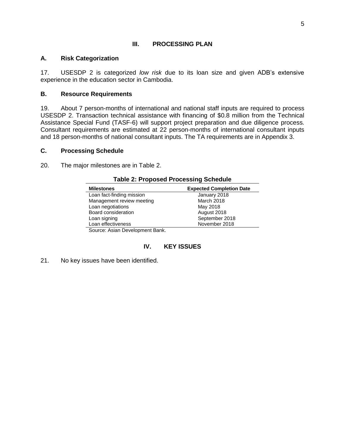#### **III. PROCESSING PLAN**

#### **A. Risk Categorization**

17. USESDP 2 is categorized *low risk* due to its loan size and given ADB's extensive experience in the education sector in Cambodia.

#### **B. Resource Requirements**

19. About 7 person-months of international and national staff inputs are required to process USESDP 2. Transaction technical assistance with financing of \$0.8 million from the Technical Assistance Special Fund (TASF-6) will support project preparation and due diligence process. Consultant requirements are estimated at 22 person-months of international consultant inputs and 18 person-months of national consultant inputs. The TA requirements are in Appendix 3.

#### **C. Processing Schedule**

20. The major milestones are in Table 2.

| <u>iapić z. i i uposeu i i učessiliu oclieduje</u> |                                 |
|----------------------------------------------------|---------------------------------|
| <b>Milestones</b>                                  | <b>Expected Completion Date</b> |
| Loan fact-finding mission                          | January 2018                    |
| Management review meeting                          | March 2018                      |
| Loan negotiations                                  | May 2018                        |
| Board consideration                                | August 2018                     |
| Loan signing                                       | September 2018                  |
| Loan effectiveness                                 | November 2018                   |
| Course: Asian Dovelopment Bank                     |                                 |

**Table 2: Proposed Processing Schedule**

Source: Asian Development Bank.

### **IV. KEY ISSUES**

21. No key issues have been identified.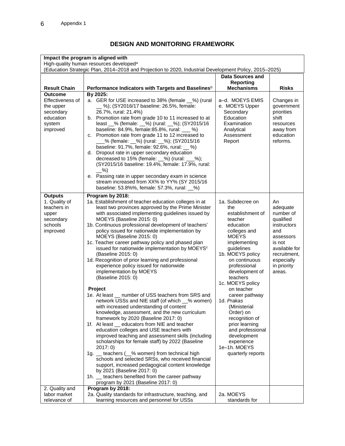## **DESIGN AND MONITORING FRAMEWORK**

| Impact the program is aligned with<br>High-quality human resources developed <sup>a</sup><br>(Education Strategic Plan, 2014-2018 and Projection to 2020, Industrial Development Policy, 2015-2025) |                                                                                                                                                                                                                                                                                                                                                                                                                                                                                                                                                                                                                                                                                                                                                                                                                                                                                                                                                                                                                                                                                                                                                                                                                                                                                                                                                                                                           |                                                                                                                                                                                                                                                                                                                                                                                                                                               |                                                                                                                                                               |  |  |
|-----------------------------------------------------------------------------------------------------------------------------------------------------------------------------------------------------|-----------------------------------------------------------------------------------------------------------------------------------------------------------------------------------------------------------------------------------------------------------------------------------------------------------------------------------------------------------------------------------------------------------------------------------------------------------------------------------------------------------------------------------------------------------------------------------------------------------------------------------------------------------------------------------------------------------------------------------------------------------------------------------------------------------------------------------------------------------------------------------------------------------------------------------------------------------------------------------------------------------------------------------------------------------------------------------------------------------------------------------------------------------------------------------------------------------------------------------------------------------------------------------------------------------------------------------------------------------------------------------------------------------|-----------------------------------------------------------------------------------------------------------------------------------------------------------------------------------------------------------------------------------------------------------------------------------------------------------------------------------------------------------------------------------------------------------------------------------------------|---------------------------------------------------------------------------------------------------------------------------------------------------------------|--|--|
| <b>Data Sources and</b>                                                                                                                                                                             |                                                                                                                                                                                                                                                                                                                                                                                                                                                                                                                                                                                                                                                                                                                                                                                                                                                                                                                                                                                                                                                                                                                                                                                                                                                                                                                                                                                                           |                                                                                                                                                                                                                                                                                                                                                                                                                                               |                                                                                                                                                               |  |  |
|                                                                                                                                                                                                     |                                                                                                                                                                                                                                                                                                                                                                                                                                                                                                                                                                                                                                                                                                                                                                                                                                                                                                                                                                                                                                                                                                                                                                                                                                                                                                                                                                                                           | <b>Reporting</b>                                                                                                                                                                                                                                                                                                                                                                                                                              |                                                                                                                                                               |  |  |
| <b>Result Chain</b>                                                                                                                                                                                 | Performance Indicators with Targets and Baselines <sup>b</sup>                                                                                                                                                                                                                                                                                                                                                                                                                                                                                                                                                                                                                                                                                                                                                                                                                                                                                                                                                                                                                                                                                                                                                                                                                                                                                                                                            | <b>Mechanisms</b>                                                                                                                                                                                                                                                                                                                                                                                                                             | <b>Risks</b>                                                                                                                                                  |  |  |
| <b>Outcome</b><br>Effectiveness of<br>the upper<br>secondary<br>education<br>system<br>improved                                                                                                     | By 2025:<br>a. GER for USE increased to 38% (female _%) (rural<br>%); (SY2016/17 baseline: 26.5%, female:<br>26.7%, rural: 21.4%)<br>b. Promotion rate from grade 10 to 11 increased to at<br>least _% (female: _%) (rural: _%); (SY2015/16<br>baseline: 84.9%, female: 85.8%, rural: ___ %)<br>c. Promotion rate from grade 11 to 12 increased to<br>% (female: __%) (rural: __%); (SY2015/16<br>baseline: 91.7%, female: 92.6%, rural: _ %)<br>Dropout rate in upper secondary education<br>d.<br>decreased to 15% (female: __%) (rural: ___%);<br>(SY2015/16 baseline: 19.4%, female: 17.9%, rural:<br>$-$ %)<br>e. Passing rate in upper secondary exam in science<br>stream increased from XX% to YY% (SY 2015/16<br>baseline: 53.8%%, female: 57.3%, rural: __%)                                                                                                                                                                                                                                                                                                                                                                                                                                                                                                                                                                                                                                    | a-d. MOEYS EMIS<br>e. MOEYS Upper<br>Secondary<br>Education<br>Examination<br>Analytical<br>Assessment<br>Report                                                                                                                                                                                                                                                                                                                              | Changes in<br>government<br>priorities<br>shift<br>resources<br>away from<br>education<br>reforms.                                                            |  |  |
| <b>Outputs</b><br>1. Quality of<br>teachers in<br>upper<br>secondary<br>schools<br>improved                                                                                                         | Program by 2018:<br>1a. Establishment of teacher education colleges in at<br>least two provinces approved by the Prime Minister<br>with associated implementing guidelines issued by<br>MOEYS (Baseline 2015: 0)<br>1b. Continuous professional development of teachers'<br>policy issued for nationwide implementation by<br>MOEYS (Baseline 2015: 0)<br>1c. Teacher career pathway policy and phased plan<br>issued for nationwide implementation by MOEYS <sup>c</sup><br>(Baseline 2015: 0)<br>1d. Recognition of prior learning and professional<br>experience policy issued for nationwide<br>implementation by MOEYS<br>(Baseline 2015: 0)<br>Project<br>1e. At least number of USS teachers from SRS and<br>network USSs and NIE staff (of which _% women)<br>with increased understanding of content<br>knowledge, assessment, and the new curriculum<br>framework by 2020 (Baseline 2017: 0)<br>1f. At least _ educators from NIE and teacher<br>education colleges and USE teachers with<br>improved teaching and assessment skills (including<br>scholarships for female staff) by 2022 (Baseline<br>2017:0<br>1g. _ teachers (_% women) from technical high<br>schools and selected SRSs, who received financial<br>support, increased pedagogical content knowledge<br>by 2021 (Baseline 2017: 0)<br>1h. _ teachers benefited from the career pathway<br>program by 2021 (Baseline 2017: 0) | 1a. Subdecree on<br>the<br>establishment of<br>teacher<br>education<br>colleges and<br><b>MOEYS</b><br>implementing<br>guidelines<br>1b. MOEYS policy<br>on continuous<br>professional<br>development of<br>teachers<br>1c. MOEYS policy<br>on teacher<br>career pathway<br>1d. Prakas<br>(Ministerial<br>Order) on<br>recognition of<br>prior learning<br>and professional<br>development<br>experience<br>1e-1h. MOEYS<br>quarterly reports | An<br>adequate<br>number of<br>qualified<br>instructors<br>and<br>assessors<br>is not<br>available for<br>recruitment,<br>especially<br>in priority<br>areas. |  |  |
| 2. Quality and<br>labor market                                                                                                                                                                      | Program by 2018:<br>2a. Quality standards for infrastructure, teaching, and                                                                                                                                                                                                                                                                                                                                                                                                                                                                                                                                                                                                                                                                                                                                                                                                                                                                                                                                                                                                                                                                                                                                                                                                                                                                                                                               | 2a. MOEYS                                                                                                                                                                                                                                                                                                                                                                                                                                     |                                                                                                                                                               |  |  |
| relevance of                                                                                                                                                                                        | learning resources and personnel for USSs                                                                                                                                                                                                                                                                                                                                                                                                                                                                                                                                                                                                                                                                                                                                                                                                                                                                                                                                                                                                                                                                                                                                                                                                                                                                                                                                                                 | standards for                                                                                                                                                                                                                                                                                                                                                                                                                                 |                                                                                                                                                               |  |  |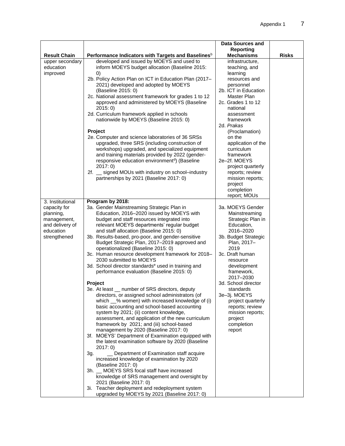|                                                                                                              |                                                                                                                                                                                                                                                                                                                                                                                                                                                                                                                                                                                                                                                                                                                                                                                                                                                                                                                                                                                                                                                                                                                                                                                                                                                                                                                                                                                                                                                                                      | Data Sources and<br><b>Reporting</b>                                                                                                                                                                                                                                                                                                                                                  |              |
|--------------------------------------------------------------------------------------------------------------|--------------------------------------------------------------------------------------------------------------------------------------------------------------------------------------------------------------------------------------------------------------------------------------------------------------------------------------------------------------------------------------------------------------------------------------------------------------------------------------------------------------------------------------------------------------------------------------------------------------------------------------------------------------------------------------------------------------------------------------------------------------------------------------------------------------------------------------------------------------------------------------------------------------------------------------------------------------------------------------------------------------------------------------------------------------------------------------------------------------------------------------------------------------------------------------------------------------------------------------------------------------------------------------------------------------------------------------------------------------------------------------------------------------------------------------------------------------------------------------|---------------------------------------------------------------------------------------------------------------------------------------------------------------------------------------------------------------------------------------------------------------------------------------------------------------------------------------------------------------------------------------|--------------|
| <b>Result Chain</b>                                                                                          | Performance Indicators with Targets and Baselines <sup>b</sup>                                                                                                                                                                                                                                                                                                                                                                                                                                                                                                                                                                                                                                                                                                                                                                                                                                                                                                                                                                                                                                                                                                                                                                                                                                                                                                                                                                                                                       | <b>Mechanisms</b>                                                                                                                                                                                                                                                                                                                                                                     | <b>Risks</b> |
| upper secondary<br>education<br>improved                                                                     | developed and issued by MOEYS and used to<br>inform MOEYS budget allocation (Baseline 2015:<br>$\left( 0\right)$<br>2b. Policy Action Plan on ICT in Education Plan (2017-<br>2021) developed and adopted by MOEYS<br>(Baseline 2015: 0)<br>2c. National assessment framework for grades 1 to 12<br>approved and administered by MOEYS (Baseline<br>2015:0<br>2d. Curriculum framework applied in schools<br>nationwide by MOEYS (Baseline 2015: 0)<br>Project<br>2e. Computer and science laboratories of 36 SRSs<br>upgraded, three SRS (including construction of<br>workshops) upgraded, and specialized equipment<br>and training materials provided by 2022 (gender-<br>responsive education environment <sup>d</sup> ) (Baseline<br>2017:0<br>signed MOUs with industry on school-industry<br>2f. __<br>partnerships by 2021 (Baseline 2017: 0)                                                                                                                                                                                                                                                                                                                                                                                                                                                                                                                                                                                                                               | infrastructure,<br>teaching, and<br>learning<br>resources and<br>personnel<br>2b. ICT in Education<br>Master Plan<br>2c. Grades 1 to 12<br>national<br>assessment<br>framework<br>2d. <i>Prakas</i><br>(Proclamation)<br>on the<br>application of the<br>curriculum<br>framework<br>2e-2f. MOEYS<br>project quarterly<br>reports; review<br>mission reports;<br>project<br>completion |              |
| 3. Institutional<br>capacity for<br>planning,<br>management,<br>and delivery of<br>education<br>strengthened | Program by 2018:<br>3a. Gender Mainstreaming Strategic Plan in<br>Education, 2016-2020 issued by MOEYS with<br>budget and staff resources integrated into<br>relevant MOEYS departments' regular budget<br>and staff allocation (Baseline 2015: 0)<br>3b. Results-based, pro-poor, and gender-sensitive<br>Budget Strategic Plan, 2017-2019 approved and<br>operationalized (Baseline 2015: 0)<br>3c. Human resource development framework for 2018-<br>2030 submitted to MOEYS<br>3d. School director standards <sup>e</sup> used in training and<br>performance evaluation (Baseline 2015: 0)<br>Project<br>number of SRS directors, deputy<br>3e. At least<br>directors, or assigned school administrators (of<br>which __% women) with increased knowledge of (i)<br>basic accounting and school-based accounting<br>system by 2021; (ii) content knowledge,<br>assessment, and application of the new curriculum<br>framework by 2021; and (iii) school-based<br>management by 2020 (Baseline 2017: 0)<br>3f. MOEYS' Department of Examination equipped with<br>the latest examination software by 2020 (Baseline<br>2017:0<br>Department of Examination staff acquire<br>3g.<br>increased knowledge of examination by 2020<br>(Baseline 2017: 0)<br>MOEYS SRS focal staff have increased<br>3h. l<br>knowledge of SRS management and oversight by<br>2021 (Baseline 2017: 0)<br>3i. Teacher deployment and redeployment system<br>upgraded by MOEYS by 2021 (Baseline 2017: 0) | report; MOUs<br>3a. MOEYS Gender<br>Mainstreaming<br>Strategic Plan in<br>Education,<br>2016-2020<br>3b. Budget Strategic<br>Plan, 2017-<br>2019<br>3c. Draft human<br>resource<br>development<br>framework,<br>2017-2030<br>3d. School director<br>standards<br>3e-3j. MOEYS<br>project quarterly<br>reports; review<br>mission reports;<br>project<br>completion<br>report          |              |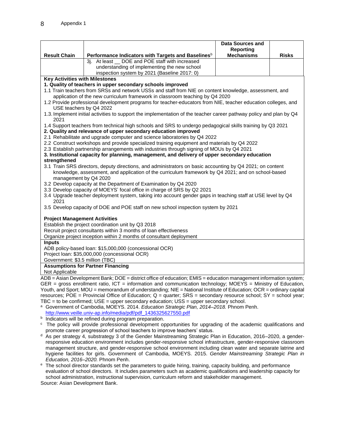|                                                                                             |                                                                                                                                                                                                                 | Data Sources and  |              |  |  |
|---------------------------------------------------------------------------------------------|-----------------------------------------------------------------------------------------------------------------------------------------------------------------------------------------------------------------|-------------------|--------------|--|--|
|                                                                                             |                                                                                                                                                                                                                 | Reporting         |              |  |  |
| <b>Result Chain</b>                                                                         | Performance Indicators with Targets and Baselines <sup>b</sup>                                                                                                                                                  | <b>Mechanisms</b> | <b>Risks</b> |  |  |
|                                                                                             | DOE and POE staff with increased<br>3i. At least                                                                                                                                                                |                   |              |  |  |
|                                                                                             | understanding of implementing the new school                                                                                                                                                                    |                   |              |  |  |
|                                                                                             | inspection system by 2021 (Baseline 2017: 0)                                                                                                                                                                    |                   |              |  |  |
| <b>Key Activities with Milestones</b>                                                       |                                                                                                                                                                                                                 |                   |              |  |  |
|                                                                                             | 1. Quality of teachers in upper secondary schools improved                                                                                                                                                      |                   |              |  |  |
|                                                                                             | 1.1 Train teachers from SRSs and network USSs and staff from NIE on content knowledge, assessment, and                                                                                                          |                   |              |  |  |
|                                                                                             | application of the new curriculum framework in classroom teaching by Q4 2020                                                                                                                                    |                   |              |  |  |
|                                                                                             | 1.2 Provide professional development programs for teacher-educators from NIE, teacher education colleges, and                                                                                                   |                   |              |  |  |
| USE teachers by Q4 2022                                                                     |                                                                                                                                                                                                                 |                   |              |  |  |
| 2021                                                                                        | 1.3. Implement initial activities to support the implementation of the teacher career pathway policy and plan by Q4                                                                                             |                   |              |  |  |
|                                                                                             | 1.4 Support teachers from technical high schools and SRS to undergo pedagogical skills training by Q3 2021                                                                                                      |                   |              |  |  |
|                                                                                             | 2. Quality and relevance of upper secondary education improved                                                                                                                                                  |                   |              |  |  |
|                                                                                             | 2.1 Rehabilitate and upgrade computer and science laboratories by Q4 2022                                                                                                                                       |                   |              |  |  |
|                                                                                             | 2.2 Construct workshops and provide specialized training equipment and materials by Q4 2022                                                                                                                     |                   |              |  |  |
|                                                                                             | 2.3 Establish partnership arrangements with industries through signing of MOUs by Q4 2021                                                                                                                       |                   |              |  |  |
| strengthened                                                                                | 3. Institutional capacity for planning, management, and delivery of upper secondary education                                                                                                                   |                   |              |  |  |
|                                                                                             |                                                                                                                                                                                                                 |                   |              |  |  |
|                                                                                             | 3.1 Train SRS directors, deputy directions, and administrators on basic accounting by Q4 2021; on content<br>knowledge, assessment, and application of the curriculum framework by Q4 2021; and on school-based |                   |              |  |  |
| management by Q4 2020                                                                       |                                                                                                                                                                                                                 |                   |              |  |  |
|                                                                                             | 3.2 Develop capacity at the Department of Examination by Q4 2020                                                                                                                                                |                   |              |  |  |
|                                                                                             | 3.3 Develop capacity of MOEYS' focal office in charge of SRS by Q2 2021                                                                                                                                         |                   |              |  |  |
| 2021                                                                                        | 3.4 Upgrade teacher deployment system, taking into account gender gaps in teaching staff at USE level by Q4                                                                                                     |                   |              |  |  |
|                                                                                             | 3.5 Develop capacity of DOE and POE staff on new school inspection system by 2021                                                                                                                               |                   |              |  |  |
| <b>Project Management Activities</b>                                                        |                                                                                                                                                                                                                 |                   |              |  |  |
|                                                                                             | Establish the project coordination unit by Q3 2018                                                                                                                                                              |                   |              |  |  |
|                                                                                             | Recruit project consultants within 3 months of loan effectiveness                                                                                                                                               |                   |              |  |  |
|                                                                                             | Organize project inception within 2 months of consultant deployment                                                                                                                                             |                   |              |  |  |
| <b>Inputs</b>                                                                               |                                                                                                                                                                                                                 |                   |              |  |  |
|                                                                                             | ADB policy-based loan: \$15,000,000 (concessional OCR)                                                                                                                                                          |                   |              |  |  |
|                                                                                             | Project loan: \$35,000,000 (concessional OCR)                                                                                                                                                                   |                   |              |  |  |
| Government: \$3.5 million (TBC)                                                             |                                                                                                                                                                                                                 |                   |              |  |  |
|                                                                                             | <b>Assumptions for Partner Financing</b>                                                                                                                                                                        |                   |              |  |  |
| Not Applicable                                                                              |                                                                                                                                                                                                                 |                   |              |  |  |
|                                                                                             | ADB = Asian Development Bank; DOE = district office of education; EMIS = education management information system;                                                                                               |                   |              |  |  |
|                                                                                             | GER = gross enrollment ratio, ICT = information and communication technology; $MOEYS =$ Ministry of Education,                                                                                                  |                   |              |  |  |
|                                                                                             | Youth, and Sport; MOU = memorandum of understanding; NIE = National Institute of Education; OCR = ordinary capital                                                                                              |                   |              |  |  |
|                                                                                             | resources; POE = Provincial Office of Education; $Q =$ quarter; SRS = secondary resource school; SY = school year;                                                                                              |                   |              |  |  |
| $TBC =$ to be confirmed; $USE = upper$ secondary education; $USS = upper$ secondary school. |                                                                                                                                                                                                                 |                   |              |  |  |

<sup>a</sup> Government of Cambodia, MOEYS. 2014. *Education Strategic Plan, 2014–2018.* Phnom Penh. [http://www.veille.univ-ap.info/media/pdf/pdf\\_1436325627550.pdf](http://www.veille.univ-ap.info/media/pdf/pdf_1436325627550.pdf)

- <sup>b</sup> Indicators will be refined during program preparation.
- <sup>c</sup> The policy will provide professional development opportunities for upgrading of the academic qualifications and promote career progression of school teachers to improve teachers' status.
- <sup>d</sup> As per strategy 4, substrategy 3 of the Gender Mainstreaming Strategic Plan in Education, 2016–2020, a genderresponsive education environment includes gender-responsive school infrastructure, gender-responsive classroom management structure, and gender-responsive school environment including clean water and separate latrine and hygiene facilities for girls. Government of Cambodia, MOEYS. 2015. *Gender Mainstreaming Strategic Plan in Education, 2016–2020.* Phnom Penh.
- <sup>e</sup> The school director standards set the parameters to guide hiring, training, capacity building, and performance evaluation of school directors. It includes parameters such as academic qualifications and leadership capacity for school administration, instructional supervision, curriculum reform and stakeholder management. Source: Asian Development Bank.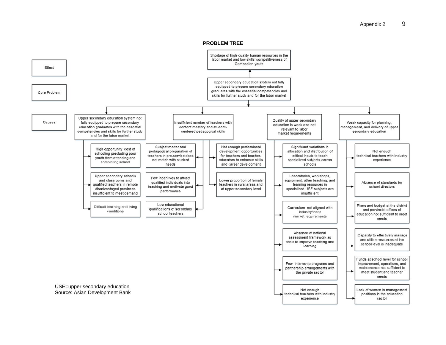#### Appendix 2 9

**PROBLEM TREE**

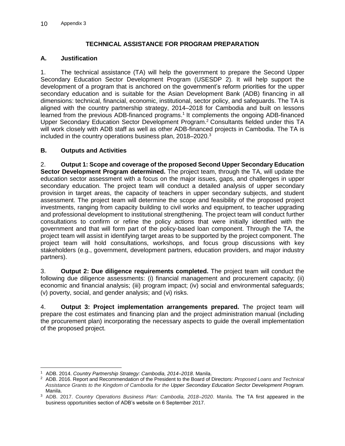### **TECHNICAL ASSISTANCE FOR PROGRAM PREPARATION**

### **A. Justification**

1. The technical assistance (TA) will help the government to prepare the Second Upper Secondary Education Sector Development Program (USESDP 2). It will help support the development of a program that is anchored on the government's reform priorities for the upper secondary education and is suitable for the Asian Development Bank (ADB) financing in all dimensions: technical, financial, economic, institutional, sector policy, and safeguards. The TA is aligned with the country partnership strategy, 2014–2018 for Cambodia and built on lessons learned from the previous ADB-financed programs.<sup>1</sup> It complements the ongoing ADB-financed Upper Secondary Education Sector Development Program.<sup>2</sup> Consultants fielded under this TA will work closely with ADB staff as well as other ADB-financed projects in Cambodia. The TA is included in the country operations business plan, 2018–2020. 3

### **B. Outputs and Activities**

2. **Output 1: Scope and coverage of the proposed Second Upper Secondary Education Sector Development Program determined.** The project team, through the TA, will update the education sector assessment with a focus on the major issues, gaps, and challenges in upper secondary education. The project team will conduct a detailed analysis of upper secondary provision in target areas, the capacity of teachers in upper secondary subjects, and student assessment. The project team will determine the scope and feasibility of the proposed project investments, ranging from capacity building to civil works and equipment, to teacher upgrading and professional development to institutional strengthening. The project team will conduct further consultations to confirm or refine the policy actions that were initially identified with the government and that will form part of the policy-based loan component. Through the TA, the project team will assist in identifying target areas to be supported by the project component. The project team will hold consultations, workshops, and focus group discussions with key stakeholders (e.g., government, development partners, education providers, and major industry partners).

3. **Output 2: Due diligence requirements completed.** The project team will conduct the following due diligence assessments: (i) financial management and procurement capacity; (ii) economic and financial analysis; (iii) program impact; (iv) social and environmental safeguards; (v) poverty, social, and gender analysis; and (vi) risks.

4. **Output 3: Project implementation arrangements prepared.** The project team will prepare the cost estimates and financing plan and the project administration manual (including the procurement plan) incorporating the necessary aspects to guide the overall implementation of the proposed project.

 <sup>1</sup> ADB. 2014. *Country Partnership Strategy: Cambodia, 2014–2018*. Manila.

<sup>2</sup> ADB. 2016. Report and Recommendation of the President to the Board of Directors: *Proposed Loans and Technical Assistance Grants to the Kingdom of Cambodia for the Upper Secondary Education Sector Development Program.* Manila.

<sup>3</sup> ADB. 2017. *Country Operations Business Plan: Cambodia, 2018–2020*. Manila. The TA first appeared in the business opportunities section of ADB's website on 6 September 2017.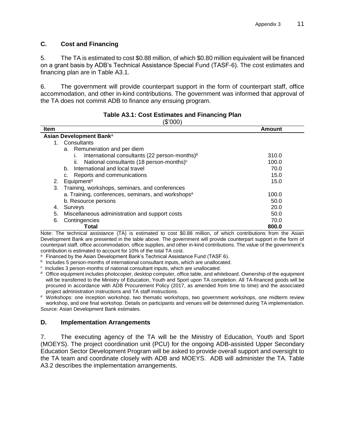### **C. Cost and Financing**

5. The TA is estimated to cost \$0.88 million, of which \$0.80 million equivalent will be financed on a grant basis by ADB's Technical Assistance Special Fund (TASF-6). The cost estimates and financing plan are in Table A3.1.

6. The government will provide counterpart support in the form of counterpart staff, office accommodation, and other in-kind contributions. The government was informed that approval of the TA does not commit ADB to finance any ensuing program.

| Item |                                                             | Amount |  |  |
|------|-------------------------------------------------------------|--------|--|--|
|      | Asian Development Bank <sup>a</sup>                         |        |  |  |
|      | Consultants<br>1.                                           |        |  |  |
|      | a. Remuneration and per diem                                |        |  |  |
|      | International consultants (22 person-months) <sup>b</sup>   | 310.0  |  |  |
|      | National consultants (18 person-months) <sup>c</sup><br>Îİ. | 100.0  |  |  |
|      | International and local travel<br>b.                        | 70.0   |  |  |
|      | Reports and communications<br>c.                            | 15.0   |  |  |
| 2.   | Equipment <sup>d</sup>                                      | 15.0   |  |  |
| 3.   | Training, workshops, seminars, and conferences              |        |  |  |
|      | a. Training, conferences, seminars, and workshopse          | 100.0  |  |  |
|      | b. Resource persons                                         | 50.0   |  |  |
| 4.   | Surveys                                                     | 20.0   |  |  |
| 5.   | Miscellaneous administration and support costs              | 50.0   |  |  |
| 6.   | Contingencies                                               | 70.0   |  |  |
|      | Total                                                       | 800.0  |  |  |

#### **Table A3.1: Cost Estimates and Financing Plan**   $(2000)$

Note: The technical assistance (TA) is estimated to cost \$0.88 million, of which contributions from the Asian Development Bank are presented in the table above. The government will provide counterpart support in the form of counterpart staff, office accommodation, office supplies, and other in-kind contributions. The value of the government's contribution is estimated to account for 10% of the total TA cost.

a Financed by the Asian Development Bank's Technical Assistance Fund (TASF 6).

<sup>b</sup> Includes 5 person-months of international consultant inputs, which are unallocated.

 $c$  Includes 3 person-months of national consultant inputs, which are unallocated.

 $d$  Office equipment includes photocopier, desktop computer, office table, and whiteboard. Ownership of the equipment will be transferred to the Ministry of Education, Youth and Sport upon TA completion. All TA-financed goods will be procured in accordance with ADB Procurement Policy (2017, as amended from time to time) and the associated project administration instructions and TA staff instructions.

<sup>e</sup> Workshops: one inception workshop, two thematic workshops, two government workshops, one midterm review workshop, and one final workshop. Details on participants and venues will be determined during TA implementation. Source: Asian Development Bank estimates.

### **D. Implementation Arrangements**

7. The executing agency of the TA will be the Ministry of Education, Youth and Sport (MOEYS). The project coordination unit (PCU) for the ongoing ADB-assisted Upper Secondary Education Sector Development Program will be asked to provide overall support and oversight to the TA team and coordinate closely with ADB and MOEYS. ADB will administer the TA. Table A3.2 describes the implementation arrangements.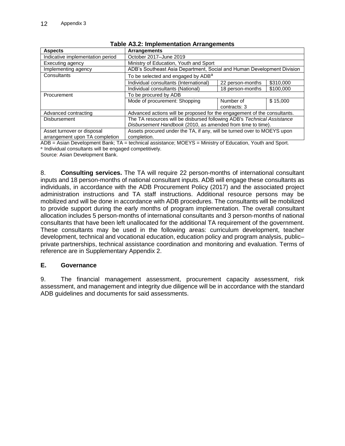| <b>Aspects</b>                       | <b>Arrangements</b>                                                      |                  |           |  |
|--------------------------------------|--------------------------------------------------------------------------|------------------|-----------|--|
| Indicative implementation period     | October 2017-June 2019                                                   |                  |           |  |
| Executing agency                     | Ministry of Education, Youth and Sport                                   |                  |           |  |
| Implementing agency                  | ADB's Southeast Asia Department, Social and Human Development Division   |                  |           |  |
| Consultants                          | To be selected and engaged by ADB <sup>a</sup>                           |                  |           |  |
|                                      | Individual consultants (International)                                   | 22 person-months | \$310,000 |  |
|                                      | Individual consultants (National)                                        | 18 person-months | \$100,000 |  |
| To be procured by ADB<br>Procurement |                                                                          |                  |           |  |
|                                      | Mode of procurement: Shopping                                            | Number of        | \$15,000  |  |
|                                      |                                                                          | contracts: 3     |           |  |
| Advanced contracting                 | Advanced actions will be proposed for the engagement of the consultants. |                  |           |  |
| <b>Disbursement</b>                  | The TA resources will be disbursed following ADB's Technical Assistance  |                  |           |  |
|                                      | Disbursement Handbook (2010, as amended from time to time).              |                  |           |  |
| Asset turnover or disposal           | Assets procured under the TA, if any, will be turned over to MOEYS upon  |                  |           |  |
| arrangement upon TA completion       | completion.                                                              |                  |           |  |

|  |  |  | Table A3.2: Implementation Arrangements |
|--|--|--|-----------------------------------------|
|--|--|--|-----------------------------------------|

ADB = Asian Development Bank; TA = technical assistance; MOEYS = Ministry of Education, Youth and Sport. a Individual consultants will be engaged competitively.

Source: Asian Development Bank.

8. **Consulting services.** The TA will require 22 person-months of international consultant inputs and 18 person-months of national consultant inputs. ADB will engage these consultants as individuals, in accordance with the ADB Procurement Policy (2017) and the associated project administration instructions and TA staff instructions. Additional resource persons may be mobilized and will be done in accordance with ADB procedures. The consultants will be mobilized to provide support during the early months of program implementation. The overall consultant allocation includes 5 person-months of international consultants and 3 person-months of national consultants that have been left unallocated for the additional TA requirement of the government. These consultants may be used in the following areas: curriculum development, teacher development, technical and vocational education, education policy and program analysis, public– private partnerships, technical assistance coordination and monitoring and evaluation. Terms of reference are in Supplementary Appendix 2.

### **E. Governance**

9. The financial management assessment, procurement capacity assessment, risk assessment, and management and integrity due diligence will be in accordance with the standard ADB guidelines and documents for said assessments.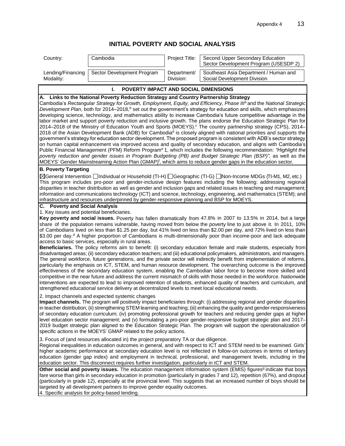# **INITIAL POVERTY AND SOCIAL ANALYSIS**

| Country:                                                                                                                                                                                                                                                                                                                                                                                                                                                                                                                                                                                                                                                                                                                                                                                                                                                                                                                                                                                                                                                                                                                                                                                                                                                                                                                                                                                                                                                                                | Cambodia                                   | Project Title:           | Second Upper Secondary Education<br>Sector Development Program (USESDP 2) |  |  |  |
|-----------------------------------------------------------------------------------------------------------------------------------------------------------------------------------------------------------------------------------------------------------------------------------------------------------------------------------------------------------------------------------------------------------------------------------------------------------------------------------------------------------------------------------------------------------------------------------------------------------------------------------------------------------------------------------------------------------------------------------------------------------------------------------------------------------------------------------------------------------------------------------------------------------------------------------------------------------------------------------------------------------------------------------------------------------------------------------------------------------------------------------------------------------------------------------------------------------------------------------------------------------------------------------------------------------------------------------------------------------------------------------------------------------------------------------------------------------------------------------------|--------------------------------------------|--------------------------|---------------------------------------------------------------------------|--|--|--|
| Lending/Financing<br>Modality:                                                                                                                                                                                                                                                                                                                                                                                                                                                                                                                                                                                                                                                                                                                                                                                                                                                                                                                                                                                                                                                                                                                                                                                                                                                                                                                                                                                                                                                          | Sector Development Program                 | Department/<br>Division: | Southeast Asia Department / Human and<br>Social Development Division      |  |  |  |
|                                                                                                                                                                                                                                                                                                                                                                                                                                                                                                                                                                                                                                                                                                                                                                                                                                                                                                                                                                                                                                                                                                                                                                                                                                                                                                                                                                                                                                                                                         |                                            |                          |                                                                           |  |  |  |
|                                                                                                                                                                                                                                                                                                                                                                                                                                                                                                                                                                                                                                                                                                                                                                                                                                                                                                                                                                                                                                                                                                                                                                                                                                                                                                                                                                                                                                                                                         | POVERTY IMPACT AND SOCIAL DIMENSIONS<br>Т. |                          |                                                                           |  |  |  |
| A. Links to the National Poverty Reduction Strategy and Country Partnership Strategy<br>Cambodia's Rectangular Strategy for Growth, Employment, Equity, and Efficiency, Phase IIP and the National Strategic<br>Development Plan, both for 2014–2018, <sup>b</sup> set out the government's strategy for education and skills, which emphasizes<br>developing science, technology, and mathematics ability to increase Cambodia's future competitive advantage in the<br>labor market and support poverty reduction and inclusive growth. The plans endorse the Education Strategic Plan for<br>2014–2018 of the Ministry of Education Youth and Sports (MOEYS). <sup>c</sup> The country partnership strategy (CPS), 2014–<br>2018 of the Asian Development Bank (ADB) for Cambodia <sup>d</sup> is closely aligned with national priorities and supports the<br>government's strategy for education sector development. The proposed program is consistent with ADB's sector strategy<br>on human capital enhancement via improved access and quality of secondary education, and aligns with Cambodia's<br>Public Financial Management (PFM) Reform Program <sup>e</sup> 1, which includes the following recommendation: "Highlight the<br>poverty reduction and gender issues in Program Budgeting (PB) and Budget Strategic Plan (BSP)", as well as the<br>MOEYS' Gender Mainstreaming Action Plan (GMAP) <sup>f</sup> , which aims to reduce gender gaps in the education sector. |                                            |                          |                                                                           |  |  |  |
| <b>B. Poverty Targeting</b>                                                                                                                                                                                                                                                                                                                                                                                                                                                                                                                                                                                                                                                                                                                                                                                                                                                                                                                                                                                                                                                                                                                                                                                                                                                                                                                                                                                                                                                             |                                            |                          |                                                                           |  |  |  |
| ⊠General Intervention Individual or Household (TI-H) I Geographic (TI-G) INon-Income MDGs (TI-M1, M2, etc.)<br>This program includes pro-poor and gender-inclusive design features including the following: addressing regional<br>disparities in teacher distribution as well as gender and inclusion gaps and related issues in teaching and management;<br>information and communications technology (ICT) and science, technology, engineering, and mathematics (STEM); and<br>infrastructure and resources underpinned by gender-responsive planning and BSP for MOEYS.                                                                                                                                                                                                                                                                                                                                                                                                                                                                                                                                                                                                                                                                                                                                                                                                                                                                                                            |                                            |                          |                                                                           |  |  |  |
| C. Poverty and Social Analysis                                                                                                                                                                                                                                                                                                                                                                                                                                                                                                                                                                                                                                                                                                                                                                                                                                                                                                                                                                                                                                                                                                                                                                                                                                                                                                                                                                                                                                                          |                                            |                          |                                                                           |  |  |  |
| 1. Key issues and potential beneficiaries.<br>Key poverty and social issues. Poverty has fallen dramatically from 47.8% in 2007 to 13.5% in 2014, but a large<br>share of the population remains vulnerable, having moved from below the poverty line to just above it. In 2011, 10%<br>of Cambodians lived on less than \$1.25 per day, but 41% lived on less than \$2.00 per day, and 72% lived on less than<br>\$3.00 per day. <sup>d</sup> A higher proportion of Cambodians is multi-dimensionally poor than income-poor and lack adequate<br>access to basic services, especially in rural areas.<br>Beneficiaries. The policy reforms aim to benefit: (i) secondary education female and male students, especially from<br>disadvantaged areas; (ii) secondary education teachers; and (iii) educational policymakers, administrators, and managers.<br>The general workforce, future generations, and the private sector will indirectly benefit from implementation of reforms,<br>particularly the emphasis on ICT, STEM, and human resource development. The overarching outcome is the improved<br>effectiveness of the secondary education system, enabling the Cambodian labor force to become more skilled and<br>competitive in the near future and address the current mismatch of skills with those needed in the workforce. Nationwide<br>interventions are expected to lead to improved retention of students, enhanced quality of teachers and curriculum, and     |                                            |                          |                                                                           |  |  |  |
| strengthened educational service delivery at decentralized levels to meet local educational needs.<br>2. Impact channels and expected systemic changes<br>Impact channels. The program will positively impact beneficiaries through: (i) addressing regional and gender disparities<br>in teacher distribution; (ii) strengthening STEM learning and teaching; (iii) enhancing the quality and gender-responsiveness<br>of secondary education curriculum; (iv) promoting professional growth for teachers and reducing gender gaps at higher<br>level education sector management; and (v) formulating a pro-poor gender-responsive budget strategic plan and 2017-<br>2019 budget strategic plan aligned to the Education Strategic Plan. The program will support the operationalization of<br>specific actions in the MOEYS' GMAP related to the policy actions.                                                                                                                                                                                                                                                                                                                                                                                                                                                                                                                                                                                                                    |                                            |                          |                                                                           |  |  |  |
| 3. Focus of (and resources allocated in) the project preparatory TA or due diligence.<br>Regional inequalities in education outcomes in general, and with respect to ICT and STEM need to be examined. Girls'<br>higher academic performance at secondary education level is not reflected in follow-on outcomes in terms of tertiary<br>education (gender gap index) and employment in technical, professional, and management levels, including in the<br>education sector. This disconnect requires further investigation, particularly in ICT and STEM.<br>Other social and poverty issues. The education management information system (EMIS) figures <sup>9</sup> indicate that boys<br>fare worse than girls in secondary education in promotion (particularly in grades 7 and 12), repetition (67%), and dropout<br>(particularly in grade 12), especially at the provincial level. This suggests that an increased number of boys should be<br>targeted by all development partners to improve gender equality outcomes.<br>4. Specific analysis for policy-based lending.                                                                                                                                                                                                                                                                                                                                                                                                     |                                            |                          |                                                                           |  |  |  |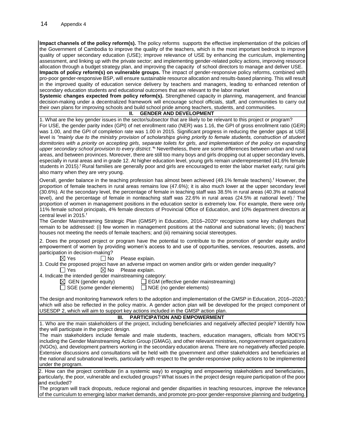**Impact channels of the policy reform(s).** The policy reforms supports the effective implementation of the policies of the Government of Cambodia to improve the quality of the teachers, which is the most important bedrock to improve quality of upper secondary education (USE); improve relevance of USE by enhancing the curriculum, implementing assessment, and linking up with the private sector; and implementing gender-related policy actions, improving resource allocation through a budget strategy plan, and improving the capacity of school directors to manage and deliver USE. **Impacts of policy reform(s) on vulnerable groups.** The impact of gender-responsive policy reforms, combined with pro-poor gender-responsive BSP, will ensure sustainable resource allocation and results-based planning. This will result in the improved quality of education service delivery by teachers and managers, leading to enhanced retention of secondary education students and educational outcomes that are relevant to the labor market

**Systemic changes expected from policy reform(s).** Strengthened capacity in planning, management, and financial decision-making under a decentralized framework will encourage school officials, staff, and communities to carry out their own plans for improving schools and build school pride among teachers, students, and communities.

#### **II. GENDER AND DEVELOPMENT**

1. What are the key gender issues in the sector/subsector that are likely to be relevant to this project or program? For USE, the gender parity index (GPI) of net enrollment ratio (NER) was 1.16, the GPI of gross enrollment ratio (GER) was 1.00, and the GPI of completion rate was 1.00 in 2015. Significant progress in reducing the gender gaps at USE level is *"mainly due to the ministry provision of scholarships giving priority to female students, construction of student dormitories with a priority on accepting girls, separate toilets for girls, and implementation of the policy on expanding upper secondary school provision to every district."*<sup>h</sup> Nevertheless, there are some differences between urban and rural areas, and between provinces. Moreover, there are still too many boys and girls dropping out at upper secondary levels, especially in rural areas and in grade 12. At higher education level, young girls remain underrepresented (41.6% female students in 2015).<sup>f</sup> Rural families are generally poor and girls are encouraged to enter the labor market early; rural girls also marry when they are very young.

Overall, gender balance in the teaching profession has almost been achieved (49.1% female teachers).<sup>f</sup> However, the proportion of female teachers in rural areas remains low (47.6%); it is also much lower at the upper secondary level (30.6%). At the secondary level, the percentage of female in teaching staff was 38.5% in rural areas (40.3% at national level), and the percentage of female in nonteaching staff was 22.6% in rural areas (24.5% at national level). <sup>i</sup> The proportion of women in management positions in the education sector is extremely low. For example, there were only 11% female school principals, 4% female directors of Provincial Office of Education, and 10% department directors at central level in 2015.<sup>f</sup>

The Gender Mainstreaming Strategic Plan (GMSP) in Education, 2016–2020<sup>n</sup> recognizes some key challenges that remain to be addressed: (i) few women in management positions at the national and subnational levels; (ii) teachers' houses not meeting the needs of female teachers; and (iii) remaining social stereotypes.

2. Does the proposed project or program have the potential to contribute to the promotion of gender equity and/or empowerment of women by providing women's access to and use of opportunities, services, resources, assets, and participation in decision-making?

 $\boxtimes$  Yes  $\Box$  No Please explain.

3. Could the proposed project have an adverse impact on women and/or girls or widen gender inequality?  $\Box$  Yes  $\boxtimes$  No Please explain.

4. Indicate the intended gender mainstreaming category:

 $\boxtimes$  GEN (gender equity)  $\Box$  EGM (effective gender mainstreaming)

 $\Box$  SGE (some gender elements)  $\Box$  NGE (no gender elements)

The design and monitoring framework refers to the adoption and implementation of the GMSP in Education, 2016*–*2020, f which will also be reflected in the policy matrix. A gender action plan will be developed for the project component of USESDP 2, which will aim to support key actions included in the GMSP action plan.

#### **III. PARTICIPATION AND EMPOWERMENT**

1. Who are the main stakeholders of the project, including beneficiaries and negatively affected people? Identify how they will participate in the project design.

The main stakeholders include female and male students, teachers, education managers, officials from MOEYS including the Gender Mainstreaming Action Group (GMAG), and other relevant ministries, nongovernment organizations (NGOs), and development partners working in the secondary education arena. There are no negatively affected people. Extensive discussions and consultations will be held with the government and other stakeholders and beneficiaries at the national and subnational levels, particularly with respect to the gender-responsive policy actions to be implemented under the program.

2. How can the project contribute (in a systemic way) to engaging and empowering stakeholders and beneficiaries, particularly, the poor, vulnerable and excluded groups? What issues in the project design require participation of the poor and excluded?

The program will track dropouts, reduce regional and gender disparities in teaching resources, improve the relevance of the curriculum to emerging labor market demands, and promote pro-poor gender-responsive planning and budgeting.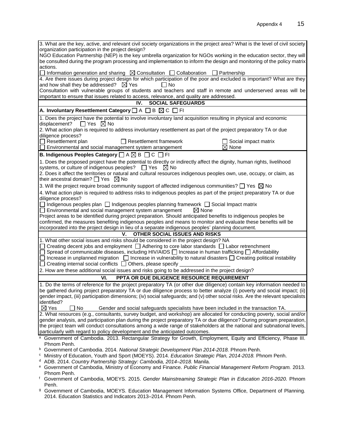| 3. What are the key, active, and relevant civil society organizations in the project area? What is the level of civil society                                                                                                                  |
|------------------------------------------------------------------------------------------------------------------------------------------------------------------------------------------------------------------------------------------------|
| organization participation in the project design?                                                                                                                                                                                              |
| NGO Education Partnership (NEP) is the key umbrella organization for NGOs working in the education sector, they will<br>be consulted during the program processing and implementation to inform the design and monitoring of the policy matrix |
| actions.                                                                                                                                                                                                                                       |
| П<br>Information generation and sharing $\boxtimes$ Consultation $\Box$ Collaboration<br>$\Box$ Partnership                                                                                                                                    |
| 4. Are there issues during project design for which participation of the poor and excluded is important? What are they                                                                                                                         |
| and how shall they be addressed? $\boxtimes$ Yes<br>l I No                                                                                                                                                                                     |
| Consultation with vulnerable groups of students and teachers and staff in remote and underserved areas will be                                                                                                                                 |
| important to ensure that issues related to access, relevance, and quality are addressed.                                                                                                                                                       |
| <b>SOCIAL SAFEGUARDS</b><br>IV.                                                                                                                                                                                                                |
| A. Involuntary Resettlement Category $\square A \square B \boxtimes C \square F1$                                                                                                                                                              |
| 1. Does the project have the potential to involve involuntary land acquisition resulting in physical and economic<br>displacement? $\Box$ Yes $\boxtimes$ No                                                                                   |
| 2. What action plan is required to address involuntary resettlement as part of the project preparatory TA or due<br>diligence process?                                                                                                         |
| $\Box$ Resettlement plan<br>$\Box$ Resettlement framework<br>Social impact matrix                                                                                                                                                              |
| $\boxtimes$ None<br>Environmental and social management system arrangement                                                                                                                                                                     |
| B. Indigenous Peoples Category $\Box$ A $\boxtimes$ B $\Box$ C $\Box$ FI                                                                                                                                                                       |
| 1. Does the proposed project have the potential to directly or indirectly affect the dignity, human rights, livelihood                                                                                                                         |
| systems, or culture of indigenous peoples? $\Box$ Yes $\boxtimes$ No                                                                                                                                                                           |
| 2. Does it affect the territories or natural and cultural resources indigenous peoples own, use, occupy, or claim, as                                                                                                                          |
| their ancestral domain? $\Box$ Yes $\boxtimes$ No                                                                                                                                                                                              |
| 3. Will the project require broad community support of affected indigenous communities? $\Box$ Yes $\boxtimes$ No                                                                                                                              |
| 4. What action plan is required to address risks to indigenous peoples as part of the project preparatory TA or due                                                                                                                            |
| diligence process?                                                                                                                                                                                                                             |
| □ Indigenous peoples plan □ Indigenous peoples planning framework □ Social Impact matrix                                                                                                                                                       |
| $\Box$ Environmental and social management system arrangement<br>$\boxtimes$ None                                                                                                                                                              |
| Project areas to be identified during project preparation. Should anticipated benefits to indigenous peoples be                                                                                                                                |
| confirmed, the measures benefiting indigenous peoples and means to monitor and evaluate these benefits will be                                                                                                                                 |
| incorporated into the project design in lieu of a separate indigenous peoples' planning document.                                                                                                                                              |
| OTHER SOCIAL ISSUES AND RISKS<br>V.<br>1. What other social issues and risks should be considered in the project design? NA                                                                                                                    |
| Creating decent jobs and employment $\Box$ Adhering to core labor standards $\Box$ Labor retrenchment                                                                                                                                          |
| Spread of communicable diseases, including HIV/AIDS $\Box$ Increase in human trafficking $\Box$ Affordability                                                                                                                                  |
| Increase in unplanned migration $\Box$ Increase in vulnerability to natural disasters $\Box$ Creating political instability                                                                                                                    |
| Creating internal social conflicts □ Others, please specify _                                                                                                                                                                                  |
| 2. How are these additional social issues and risks going to be addressed in the project design?                                                                                                                                               |
| PPTA OR DUE DILIGENCE RESOURCE REQUIREMENT<br>VI.                                                                                                                                                                                              |
| 1. Do the terms of reference for the project preparatory TA (or other due diligence) contain key information needed to                                                                                                                         |
| be gathered during project preparatory TA or due diligence process to better analyze (i) poverty and social impact; (ii)                                                                                                                       |
| gender impact, (iii) participation dimensions; (iv) social safeguards; and (v) other social risks. Are the relevant specialists                                                                                                                |
| identified?                                                                                                                                                                                                                                    |
| $\boxtimes$ Yes<br>No<br>Gender and social safeguards specialists have been included in the transaction TA.                                                                                                                                    |
| 2. What resources (e.g., consultants, survey budget, and workshop) are allocated for conducting poverty, social and/or                                                                                                                         |
| gender analysis, and participation plan during the project preparatory TA or due diligence? During program preparation,                                                                                                                        |
| the project team will conduct consultations among a wide range of stakeholders at the national and subnational levels,                                                                                                                         |
| particularly with regard to policy development and the anticipated outcomes.                                                                                                                                                                   |
| Government of Cambodia. 2013. Rectangular Strategy for Growth, Employment, Equity and Efficiency, Phase III.<br>a                                                                                                                              |
| Phnom Penh.<br>b                                                                                                                                                                                                                               |
| Government of Cambodia. 2014. National Strategic Development Plan 2014-2018. Phnom Penh.<br>Ministry of Education, Youth and Sport (MOEYS). 2014. Education Strategic Plan, 2014-2018. Phnom Penh.<br>c                                        |
| ADB. 2014. Country Partnership Strategy: Cambodia, 2014-2018. Manila.                                                                                                                                                                          |
| Government of Cambodia, Ministry of Economy and Finance. Public Financial Management Reform Program. 2013.<br>e                                                                                                                                |
| Phnom Penh.                                                                                                                                                                                                                                    |
| f<br>Government of Cambodia, MOEYS. 2015. Gender Mainstreaming Strategic Plan in Education 2016-2020. Phnom                                                                                                                                    |
| Penh.                                                                                                                                                                                                                                          |

<sup>g</sup> Government of Cambodia, MOEYS. Education Management Information Systems Office, Department of Planning. 2014. Education Statistics and Indicators 2013–2014. Phnom Penh.